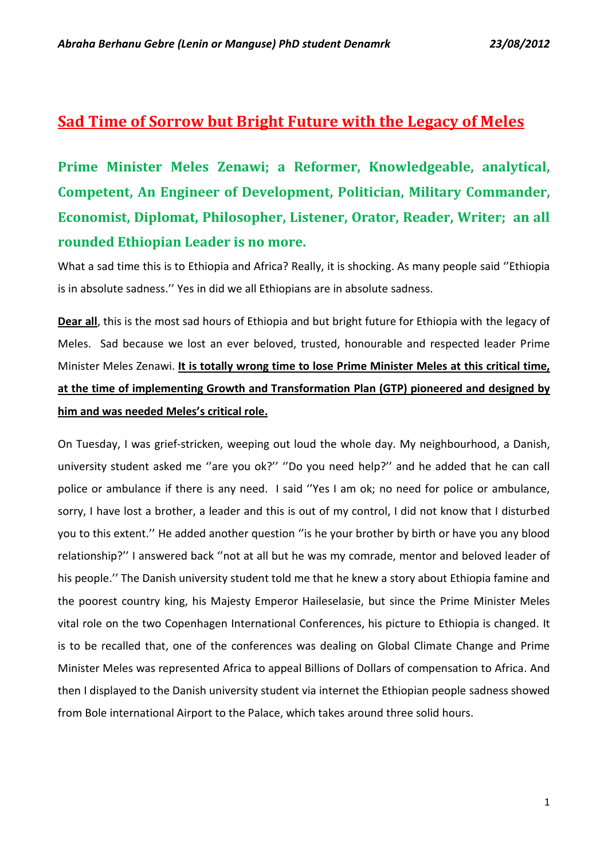## **Sad Time of Sorrow but Bright Future with the Legacy of Meles**

**Prime Minister Meles Zenawi; a Reformer, Knowledgeable, analytical, Competent, An Engineer of Development, Politician, Military Commander, Economist, Diplomat, Philosopher, Listener, Orator, Reader, Writer; an all rounded Ethiopian Leader is no more.**

What a sad time this is to Ethiopia and Africa? Really, it is shocking. As many people said ''Ethiopia is in absolute sadness.'' Yes in did we all Ethiopians are in absolute sadness.

**Dear all**, this is the most sad hours of Ethiopia and but bright future for Ethiopia with the legacy of Meles. Sad because we lost an ever beloved, trusted, honourable and respected leader Prime Minister Meles Zenawi. **It is totally wrong time to lose Prime Minister Meles at this critical time, at the time of implementing Growth and Transformation Plan (GTP) pioneered and designed by him and was needed Meles's critical role.**

On Tuesday, I was grief-stricken, weeping out loud the whole day. My neighbourhood, a Danish, university student asked me ''are you ok?'' ''Do you need help?'' and he added that he can call police or ambulance if there is any need. I said ''Yes I am ok; no need for police or ambulance, sorry, I have lost a brother, a leader and this is out of my control, I did not know that I disturbed you to this extent.'' He added another question ''is he your brother by birth or have you any blood relationship?'' I answered back ''not at all but he was my comrade, mentor and beloved leader of his people.'' The Danish university student told me that he knew a story about Ethiopia famine and the poorest country king, his Majesty Emperor Haileselasie, but since the Prime Minister Meles vital role on the two Copenhagen International Conferences, his picture to Ethiopia is changed. It is to be recalled that, one of the conferences was dealing on Global Climate Change and Prime Minister Meles was represented Africa to appeal Billions of Dollars of compensation to Africa. And then I displayed to the Danish university student via internet the Ethiopian people sadness showed from Bole international Airport to the Palace, which takes around three solid hours.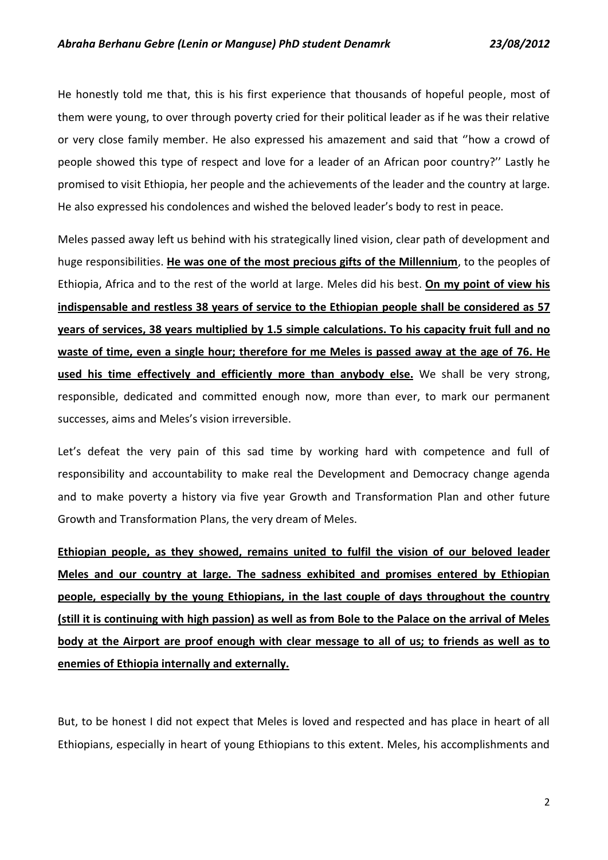He honestly told me that, this is his first experience that thousands of hopeful people, most of them were young, to over through poverty cried for their political leader as if he was their relative or very close family member. He also expressed his amazement and said that ''how a crowd of people showed this type of respect and love for a leader of an African poor country?'' Lastly he promised to visit Ethiopia, her people and the achievements of the leader and the country at large. He also expressed his condolences and wished the beloved leader's body to rest in peace.

Meles passed away left us behind with his strategically lined vision, clear path of development and huge responsibilities. **He was one of the most precious gifts of the Millennium**, to the peoples of Ethiopia, Africa and to the rest of the world at large. Meles did his best. **On my point of view his indispensable and restless 38 years of service to the Ethiopian people shall be considered as 57 years of services, 38 years multiplied by 1.5 simple calculations. To his capacity fruit full and no waste of time, even a single hour; therefore for me Meles is passed away at the age of 76. He used his time effectively and efficiently more than anybody else.** We shall be very strong, responsible, dedicated and committed enough now, more than ever, to mark our permanent successes, aims and Meles's vision irreversible.

Let's defeat the very pain of this sad time by working hard with competence and full of responsibility and accountability to make real the Development and Democracy change agenda and to make poverty a history via five year Growth and Transformation Plan and other future Growth and Transformation Plans, the very dream of Meles.

**Ethiopian people, as they showed, remains united to fulfil the vision of our beloved leader Meles and our country at large. The sadness exhibited and promises entered by Ethiopian people, especially by the young Ethiopians, in the last couple of days throughout the country (still it is continuing with high passion) as well as from Bole to the Palace on the arrival of Meles body at the Airport are proof enough with clear message to all of us; to friends as well as to enemies of Ethiopia internally and externally.** 

But, to be honest I did not expect that Meles is loved and respected and has place in heart of all Ethiopians, especially in heart of young Ethiopians to this extent. Meles, his accomplishments and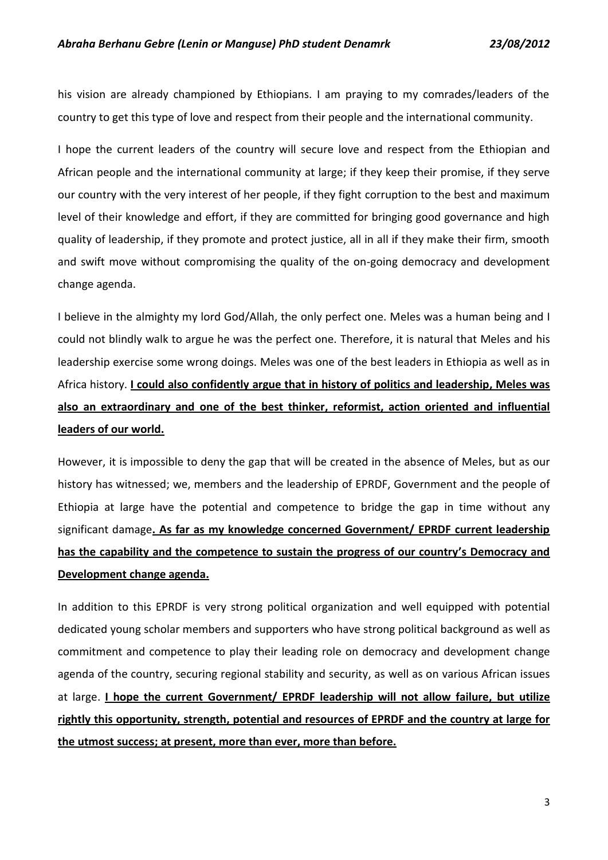his vision are already championed by Ethiopians. I am praying to my comrades/leaders of the country to get this type of love and respect from their people and the international community.

I hope the current leaders of the country will secure love and respect from the Ethiopian and African people and the international community at large; if they keep their promise, if they serve our country with the very interest of her people, if they fight corruption to the best and maximum level of their knowledge and effort, if they are committed for bringing good governance and high quality of leadership, if they promote and protect justice, all in all if they make their firm, smooth and swift move without compromising the quality of the on-going democracy and development change agenda.

I believe in the almighty my lord God/Allah, the only perfect one. Meles was a human being and I could not blindly walk to argue he was the perfect one. Therefore, it is natural that Meles and his leadership exercise some wrong doings. Meles was one of the best leaders in Ethiopia as well as in Africa history. **I could also confidently argue that in history of politics and leadership, Meles was also an extraordinary and one of the best thinker, reformist, action oriented and influential leaders of our world.** 

However, it is impossible to deny the gap that will be created in the absence of Meles, but as our history has witnessed; we, members and the leadership of EPRDF, Government and the people of Ethiopia at large have the potential and competence to bridge the gap in time without any significant damage**. As far as my knowledge concerned Government/ EPRDF current leadership has the capability and the competence to sustain the progress of our country's Democracy and Development change agenda.**

In addition to this EPRDF is very strong political organization and well equipped with potential dedicated young scholar members and supporters who have strong political background as well as commitment and competence to play their leading role on democracy and development change agenda of the country, securing regional stability and security, as well as on various African issues at large. **I hope the current Government/ EPRDF leadership will not allow failure, but utilize rightly this opportunity, strength, potential and resources of EPRDF and the country at large for the utmost success; at present, more than ever, more than before.**